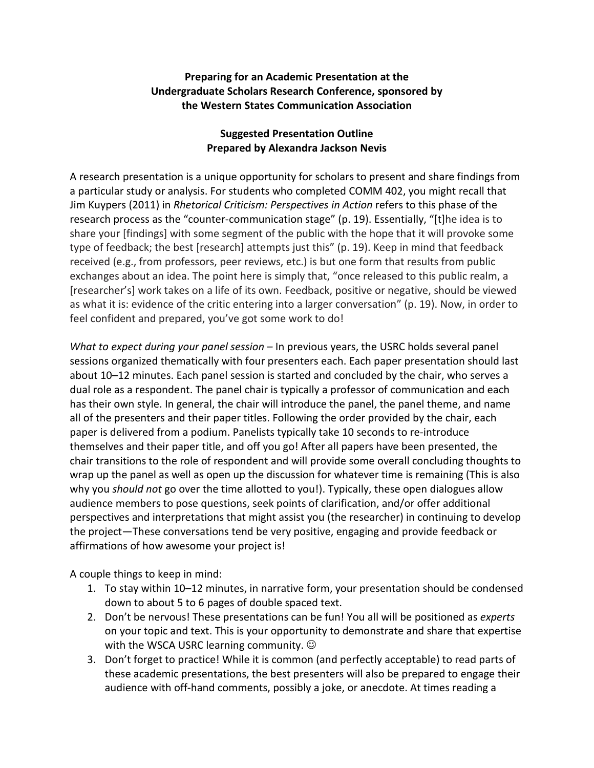#### **Preparing for an Academic Presentation at the Undergraduate Scholars Research Conference, sponsored by the Western States Communication Association**

### **Suggested Presentation Outline Prepared by Alexandra Jackson Nevis**

A research presentation is a unique opportunity for scholars to present and share findings from a particular study or analysis. For students who completed COMM 402, you might recall that Jim Kuypers (2011) in *Rhetorical Criticism: Perspectives in Action* refers to this phase of the research process as the "counter-communication stage" (p. 19). Essentially, "[t]he idea is to share your [findings] with some segment of the public with the hope that it will provoke some type of feedback; the best [research] attempts just this" (p. 19). Keep in mind that feedback received (e.g., from professors, peer reviews, etc.) is but one form that results from public exchanges about an idea. The point here is simply that, "once released to this public realm, a [researcher's] work takes on a life of its own. Feedback, positive or negative, should be viewed as what it is: evidence of the critic entering into a larger conversation" (p. 19). Now, in order to feel confident and prepared, you've got some work to do!

*What to expect during your panel session* – In previous years, the USRC holds several panel sessions organized thematically with four presenters each. Each paper presentation should last about 10–12 minutes. Each panel session is started and concluded by the chair, who serves a dual role as a respondent. The panel chair is typically a professor of communication and each has their own style. In general, the chair will introduce the panel, the panel theme, and name all of the presenters and their paper titles. Following the order provided by the chair, each paper is delivered from a podium. Panelists typically take 10 seconds to re-introduce themselves and their paper title, and off you go! After all papers have been presented, the chair transitions to the role of respondent and will provide some overall concluding thoughts to wrap up the panel as well as open up the discussion for whatever time is remaining (This is also why you *should not* go over the time allotted to you!). Typically, these open dialogues allow audience members to pose questions, seek points of clarification, and/or offer additional perspectives and interpretations that might assist you (the researcher) in continuing to develop the project—These conversations tend be very positive, engaging and provide feedback or affirmations of how awesome your project is!

A couple things to keep in mind:

- 1. To stay within 10–12 minutes, in narrative form, your presentation should be condensed down to about 5 to 6 pages of double spaced text.
- 2. Don't be nervous! These presentations can be fun! You all will be positioned as *experts* on your topic and text. This is your opportunity to demonstrate and share that expertise with the WSCA USRC learning community.  $\odot$
- 3. Don't forget to practice! While it is common (and perfectly acceptable) to read parts of these academic presentations, the best presenters will also be prepared to engage their audience with off-hand comments, possibly a joke, or anecdote. At times reading a